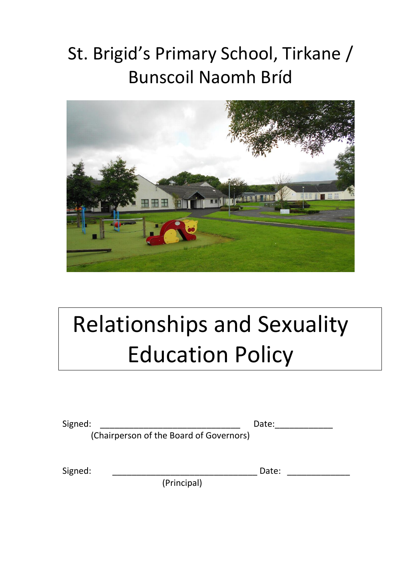# St. Brigid's Primary School, Tirkane / Bunscoil Naomh Bríd



# Relationships and Sexuality Education Policy

Signed: \_\_\_\_\_\_\_\_\_\_\_\_\_\_\_\_\_\_\_\_\_\_\_\_\_\_\_\_\_ Date:\_\_\_\_\_\_\_\_\_\_\_\_

(Chairperson of the Board of Governors)

(Principal)

Signed:  $\Box$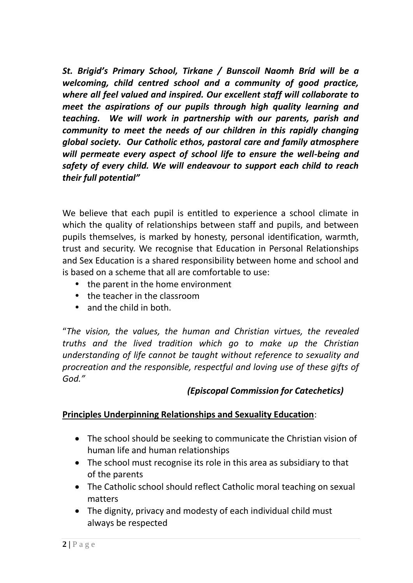*St. Brigid's Primary School, Tirkane / Bunscoil Naomh Bríd will be a welcoming, child centred school and a community of good practice, where all feel valued and inspired. Our excellent staff will collaborate to meet the aspirations of our pupils through high quality learning and teaching. We will work in partnership with our parents, parish and community to meet the needs of our children in this rapidly changing global society. Our Catholic ethos, pastoral care and family atmosphere will permeate every aspect of school life to ensure the well-being and safety of every child. We will endeavour to support each child to reach their full potential"*

We believe that each pupil is entitled to experience a school climate in which the quality of relationships between staff and pupils, and between pupils themselves, is marked by honesty, personal identification, warmth, trust and security. We recognise that Education in Personal Relationships and Sex Education is a shared responsibility between home and school and is based on a scheme that all are comfortable to use:

- the parent in the home environment
- the teacher in the classroom
- and the child in both.

"*The vision, the values, the human and Christian virtues, the revealed truths and the lived tradition which go to make up the Christian understanding of life cannot be taught without reference to sexuality and procreation and the responsible, respectful and loving use of these gifts of God."* 

# *(Episcopal Commission for Catechetics)*

# **Principles Underpinning Relationships and Sexuality Education**:

- The school should be seeking to communicate the Christian vision of human life and human relationships
- The school must recognise its role in this area as subsidiary to that of the parents
- The Catholic school should reflect Catholic moral teaching on sexual matters
- The dignity, privacy and modesty of each individual child must always be respected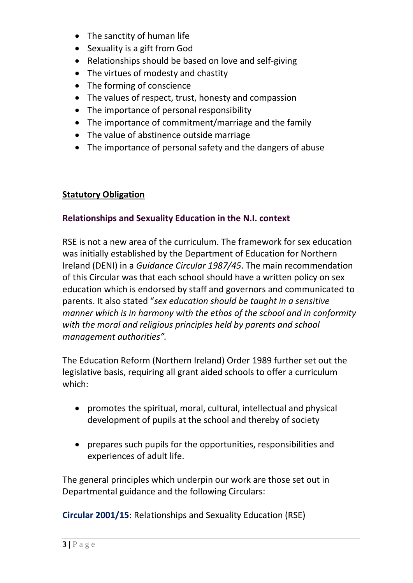- The sanctity of human life
- Sexuality is a gift from God
- Relationships should be based on love and self-giving
- The virtues of modesty and chastity
- The forming of conscience
- The values of respect, trust, honesty and compassion
- The importance of personal responsibility
- The importance of commitment/marriage and the family
- The value of abstinence outside marriage
- The importance of personal safety and the dangers of abuse

# **Statutory Obligation**

#### **Relationships and Sexuality Education in the N.I. context**

RSE is not a new area of the curriculum. The framework for sex education was initially established by the Department of Education for Northern Ireland (DENI) in a *Guidance Circular 1987/45*. The main recommendation of this Circular was that each school should have a written policy on sex education which is endorsed by staff and governors and communicated to parents. It also stated "*sex education should be taught in a sensitive manner which is in harmony with the ethos of the school and in conformity with the moral and religious principles held by parents and school management authorities".*

The Education Reform (Northern Ireland) Order 1989 further set out the legislative basis, requiring all grant aided schools to offer a curriculum which:

- promotes the spiritual, moral, cultural, intellectual and physical development of pupils at the school and thereby of society
- prepares such pupils for the opportunities, responsibilities and experiences of adult life.

The general principles which underpin our work are those set out in Departmental guidance and the following Circulars:

**Circular 2001/15**: Relationships and Sexuality Education (RSE)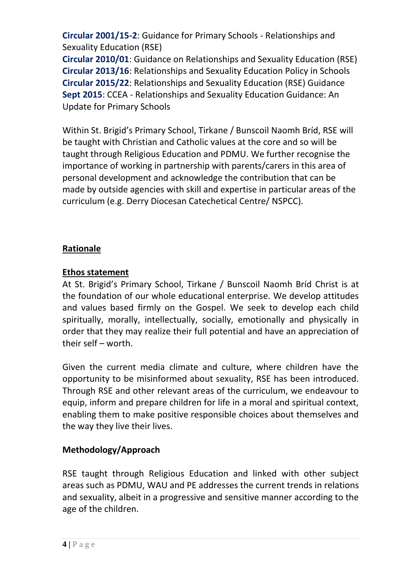**Circular 2001/15-2**: Guidance for Primary Schools - Relationships and Sexuality Education (RSE)

**Circular 2010/01**: Guidance on Relationships and Sexuality Education (RSE) **Circular 2013/16**: Relationships and Sexuality Education Policy in Schools **Circular 2015/22**: Relationships and Sexuality Education (RSE) Guidance **Sept 2015**: CCEA - Relationships and Sexuality Education Guidance: An Update for Primary Schools

Within St. Brigid's Primary School, Tirkane / Bunscoil Naomh Bríd, RSE will be taught with Christian and Catholic values at the core and so will be taught through Religious Education and PDMU. We further recognise the importance of working in partnership with parents/carers in this area of personal development and acknowledge the contribution that can be made by outside agencies with skill and expertise in particular areas of the curriculum (e.g. Derry Diocesan Catechetical Centre/ NSPCC).

# **Rationale**

# **Ethos statement**

At St. Brigid's Primary School, Tirkane / Bunscoil Naomh Bríd Christ is at the foundation of our whole educational enterprise. We develop attitudes and values based firmly on the Gospel. We seek to develop each child spiritually, morally, intellectually, socially, emotionally and physically in order that they may realize their full potential and have an appreciation of their self – worth.

Given the current media climate and culture, where children have the opportunity to be misinformed about sexuality, RSE has been introduced. Through RSE and other relevant areas of the curriculum, we endeavour to equip, inform and prepare children for life in a moral and spiritual context, enabling them to make positive responsible choices about themselves and the way they live their lives.

# **Methodology/Approach**

RSE taught through Religious Education and linked with other subject areas such as PDMU, WAU and PE addresses the current trends in relations and sexuality, albeit in a progressive and sensitive manner according to the age of the children.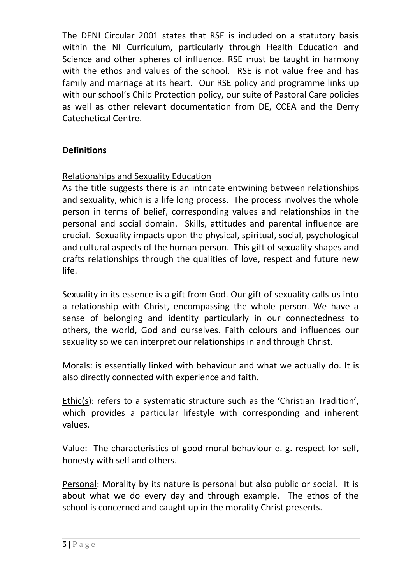The DENI Circular 2001 states that RSE is included on a statutory basis within the NI Curriculum, particularly through Health Education and Science and other spheres of influence. RSE must be taught in harmony with the ethos and values of the school. RSE is not value free and has family and marriage at its heart. Our RSE policy and programme links up with our school's Child Protection policy, our suite of Pastoral Care policies as well as other relevant documentation from DE, CCEA and the Derry Catechetical Centre.

# **Definitions**

# Relationships and Sexuality Education

As the title suggests there is an intricate entwining between relationships and sexuality, which is a life long process. The process involves the whole person in terms of belief, corresponding values and relationships in the personal and social domain. Skills, attitudes and parental influence are crucial. Sexuality impacts upon the physical, spiritual, social, psychological and cultural aspects of the human person. This gift of sexuality shapes and crafts relationships through the qualities of love, respect and future new life.

Sexuality in its essence is a gift from God. Our gift of sexuality calls us into a relationship with Christ, encompassing the whole person. We have a sense of belonging and identity particularly in our connectedness to others, the world, God and ourselves. Faith colours and influences our sexuality so we can interpret our relationships in and through Christ.

Morals: is essentially linked with behaviour and what we actually do. It is also directly connected with experience and faith.

Ethic(s): refers to a systematic structure such as the 'Christian Tradition', which provides a particular lifestyle with corresponding and inherent values.

Value: The characteristics of good moral behaviour e. g. respect for self, honesty with self and others.

Personal: Morality by its nature is personal but also public or social. It is about what we do every day and through example. The ethos of the school is concerned and caught up in the morality Christ presents.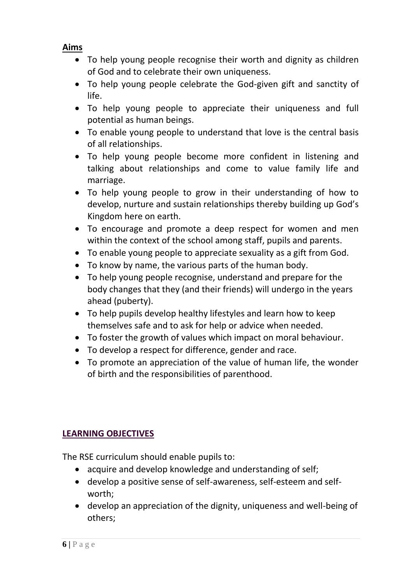#### **Aims**

- To help young people recognise their worth and dignity as children of God and to celebrate their own uniqueness.
- To help young people celebrate the God-given gift and sanctity of life.
- To help young people to appreciate their uniqueness and full potential as human beings.
- To enable young people to understand that love is the central basis of all relationships.
- To help young people become more confident in listening and talking about relationships and come to value family life and marriage.
- To help young people to grow in their understanding of how to develop, nurture and sustain relationships thereby building up God's Kingdom here on earth.
- To encourage and promote a deep respect for women and men within the context of the school among staff, pupils and parents.
- To enable young people to appreciate sexuality as a gift from God.
- To know by name, the various parts of the human body.
- To help young people recognise, understand and prepare for the body changes that they (and their friends) will undergo in the years ahead (puberty).
- To help pupils develop healthy lifestyles and learn how to keep themselves safe and to ask for help or advice when needed.
- To foster the growth of values which impact on moral behaviour.
- To develop a respect for difference, gender and race.
- To promote an appreciation of the value of human life, the wonder of birth and the responsibilities of parenthood.

# **LEARNING OBJECTIVES**

The RSE curriculum should enable pupils to:

- acquire and develop knowledge and understanding of self;
- develop a positive sense of self-awareness, self-esteem and selfworth;
- develop an appreciation of the dignity, uniqueness and well-being of others;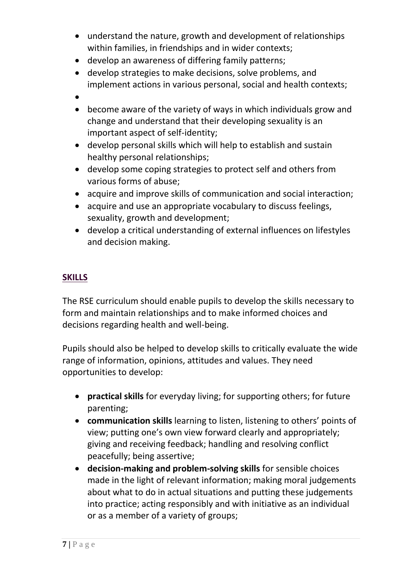- understand the nature, growth and development of relationships within families, in friendships and in wider contexts;
- develop an awareness of differing family patterns;
- develop strategies to make decisions, solve problems, and implement actions in various personal, social and health contexts;
- $\bullet$
- become aware of the variety of ways in which individuals grow and change and understand that their developing sexuality is an important aspect of self-identity;
- develop personal skills which will help to establish and sustain healthy personal relationships;
- develop some coping strategies to protect self and others from various forms of abuse;
- acquire and improve skills of communication and social interaction;
- acquire and use an appropriate vocabulary to discuss feelings, sexuality, growth and development;
- develop a critical understanding of external influences on lifestyles and decision making.

# **SKILLS**

The RSE curriculum should enable pupils to develop the skills necessary to form and maintain relationships and to make informed choices and decisions regarding health and well-being.

Pupils should also be helped to develop skills to critically evaluate the wide range of information, opinions, attitudes and values. They need opportunities to develop:

- **practical skills** for everyday living; for supporting others; for future parenting;
- **communication skills** learning to listen, listening to others' points of view; putting one's own view forward clearly and appropriately; giving and receiving feedback; handling and resolving conflict peacefully; being assertive;
- **decision-making and problem-solving skills** for sensible choices made in the light of relevant information; making moral judgements about what to do in actual situations and putting these judgements into practice; acting responsibly and with initiative as an individual or as a member of a variety of groups;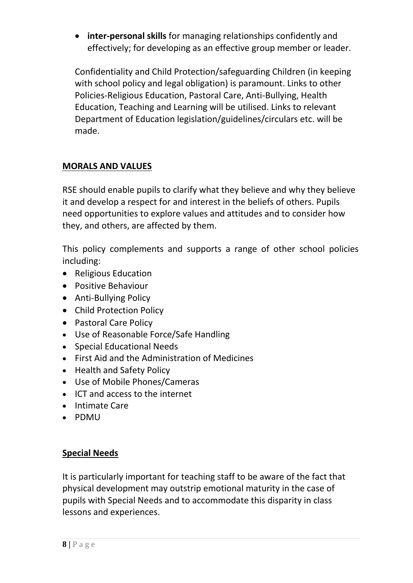**inter-personal skills** for managing relationships confidently and effectively; for developing as an effective group member or leader.

Confidentiality and Child Protection/safeguarding Children (in keeping with school policy and legal obligation) is paramount. Links to other Policies-Religious Education, Pastoral Care, Anti-Bullying, Health Education, Teaching and Learning will be utilised. Links to relevant Department of Education legislation/guidelines/circulars etc. will be made.

# **MORALS AND VALUES**

RSE should enable pupils to clarify what they believe and why they believe it and develop a respect for and interest in the beliefs of others. Pupils need opportunities to explore values and attitudes and to consider how they, and others, are affected by them.

This policy complements and supports a range of other school policies including:

- Religious Education
- Positive Behaviour
- Anti-Bullying Policy
- Child Protection Policy
- Pastoral Care Policy
- Use of Reasonable Force/Safe Handling
- Special Educational Needs
- First Aid and the Administration of Medicines
- Health and Safety Policy
- Use of Mobile Phones/Cameras
- ICT and access to the internet
- Intimate Care
- PDMU

# **Special Needs**

It is particularly important for teaching staff to be aware of the fact that physical development may outstrip emotional maturity in the case of pupils with Special Needs and to accommodate this disparity in class lessons and experiences.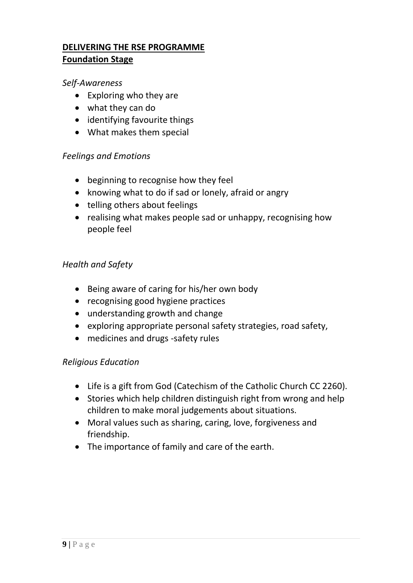# **DELIVERING THE RSE PROGRAMME Foundation Stage**

#### *Self-Awareness*

- Exploring who they are
- what they can do
- identifying favourite things
- What makes them special

#### *Feelings and Emotions*

- beginning to recognise how they feel
- knowing what to do if sad or lonely, afraid or angry
- telling others about feelings
- realising what makes people sad or unhappy, recognising how people feel

# *Health and Safety*

- Being aware of caring for his/her own body
- recognising good hygiene practices
- understanding growth and change
- exploring appropriate personal safety strategies, road safety,
- medicines and drugs -safety rules

# *Religious Education*

- Life is a gift from God (Catechism of the Catholic Church CC 2260).
- Stories which help children distinguish right from wrong and help children to make moral judgements about situations.
- Moral values such as sharing, caring, love, forgiveness and friendship.
- The importance of family and care of the earth.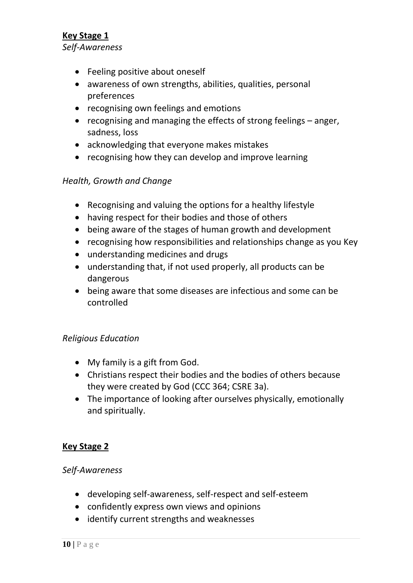#### **Key Stage 1** *Self-Awareness*

- Feeling positive about oneself
- awareness of own strengths, abilities, qualities, personal preferences
- recognising own feelings and emotions
- recognising and managing the effects of strong feelings anger, sadness, loss
- acknowledging that everyone makes mistakes
- recognising how they can develop and improve learning

#### *Health, Growth and Change*

- Recognising and valuing the options for a healthy lifestyle
- having respect for their bodies and those of others
- being aware of the stages of human growth and development
- recognising how responsibilities and relationships change as you Key
- understanding medicines and drugs
- understanding that, if not used properly, all products can be dangerous
- being aware that some diseases are infectious and some can be controlled

#### *Religious Education*

- My family is a gift from God.
- Christians respect their bodies and the bodies of others because they were created by God (CCC 364; CSRE 3a).
- The importance of looking after ourselves physically, emotionally and spiritually.

#### **Key Stage 2**

#### *Self-Awareness*

- developing self-awareness, self-respect and self-esteem
- confidently express own views and opinions
- identify current strengths and weaknesses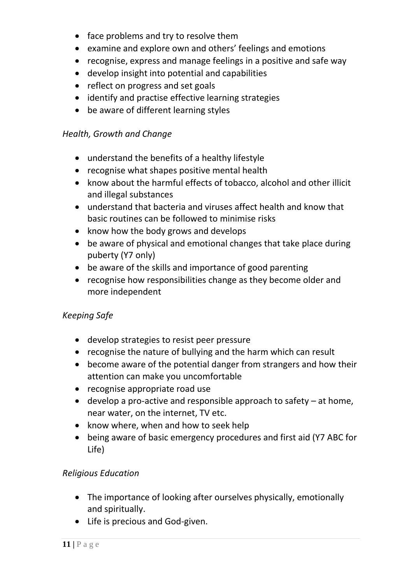- face problems and try to resolve them
- examine and explore own and others' feelings and emotions
- recognise, express and manage feelings in a positive and safe way
- develop insight into potential and capabilities
- reflect on progress and set goals
- identify and practise effective learning strategies
- be aware of different learning styles

# *Health, Growth and Change*

- understand the benefits of a healthy lifestyle
- recognise what shapes positive mental health
- know about the harmful effects of tobacco, alcohol and other illicit and illegal substances
- understand that bacteria and viruses affect health and know that basic routines can be followed to minimise risks
- know how the body grows and develops
- be aware of physical and emotional changes that take place during puberty (Y7 only)
- be aware of the skills and importance of good parenting
- recognise how responsibilities change as they become older and more independent

# *Keeping Safe*

- develop strategies to resist peer pressure
- recognise the nature of bullying and the harm which can result
- become aware of the potential danger from strangers and how their attention can make you uncomfortable
- recognise appropriate road use
- $\bullet$  develop a pro-active and responsible approach to safety  $-$  at home, near water, on the internet, TV etc.
- know where, when and how to seek help
- being aware of basic emergency procedures and first aid (Y7 ABC for Life)

# *Religious Education*

- The importance of looking after ourselves physically, emotionally and spiritually.
- Life is precious and God-given.